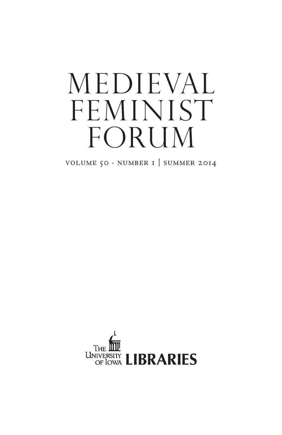# medieval FEMINIST FORUM

VOLUME  $50 \cdot \text{NUMBER I}$  | SUMMER 2014

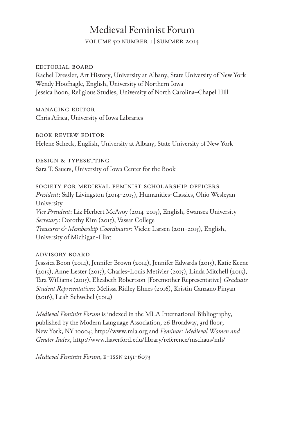# Medieval Feminist Forum

volume 50 number 1 |summer 2014

#### editorial board

Rachel Dressler, Art History, University at Albany, State University of New York Wendy Hoofnagle, English, University of Northern Iowa Jessica Boon, Religious Studies, University of North Carolina–Chapel Hill

## managing editor

Chris Africa, University of Iowa Libraries

#### book review editor

Helene Scheck, English, University at Albany, State University of New York

design & typesetting Sara T. Sauers, University of Iowa Center for the Book

## society for medieval feminist scholarship officers *President*: Sally Livingston (2014-2015), Humanities-Classics, Ohio Wesleyan University *Vice President*: Liz Herbert McAvoy (2014-2015), English, Swansea University *Secretary*: Dorothy Kim (2015), Vassar College *Treasurer & Membership Coordinator*: Vickie Larsen (2011-2015), English, University of Michigan-Flint

## advisory board

Jesssica Boon (2014), Jennifer Brown (2014), Jennifer Edwards (2015), Katie Keene (2015), Anne Lester (2015), Charles-Louis Metivier (2015), Linda Mitchell (2015), Tara Williams (2015), Elizabeth Robertson [Foremother Representative] *Graduate Student Representatives*: Melissa Ridley Elmes (2016), Kristin Canzano Pinyan (2016), Leah Schwebel (2014)

*Medieval Feminist Forum* is indexed in the MLA International Bibliography, published by the Modern Language Association, 26 Broadway, 3rd floor; New York, NY 10004; http://www.mla.org and *Feminae: Medieval Women and Gender Index*, http://www.haverford.edu/library/reference/mschaus/mfi/

*Medieval Feminist Forum*, e-issn 2151-6073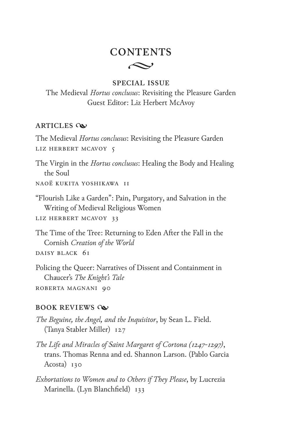## $\sim$ **CONTENTS**

## **SPECIAL ISSUE**

The Medieval *Hortus conclusus*: Revisiting the Pleasure Garden Guest Editor: Liz Herbert McAvoy

### **ARTICLES**

The Medieval *Hortus conclusus*: Revisiting the Pleasure Garden Liz Herbert McAvoy 5

The Virgin in the *Hortus conclusus*: Healing the Body and Healing the Soul

Naoë Kukita Yoshikawa 11

"Flourish Like a Garden": Pain, Purgatory, and Salvation in the Writing of Medieval Religious Women

Liz Herbert McAvoy 33

The Time of the Tree: Returning to Eden After the Fall in the Cornish *Creation of the World*

Daisy Black 61

Policing the Queer: Narratives of Dissent and Containment in Chaucer's *The Knight's Tale*

Roberta Magnani 90

## **BOOK REVIEWS**

*The Beguine, the Angel, and the Inquisitor*, by Sean L. Field. (Tanya Stabler Miller) 127

- *The Life and Miracles of Saint Margaret of Cortona (1247-1297)*, trans. Thomas Renna and ed. Shannon Larson. (Pablo Garcia Acosta) 130
- *Exhortations to Women and to Others if They Please*, by Lucrezia Marinella. (Lyn Blanchfield) 133